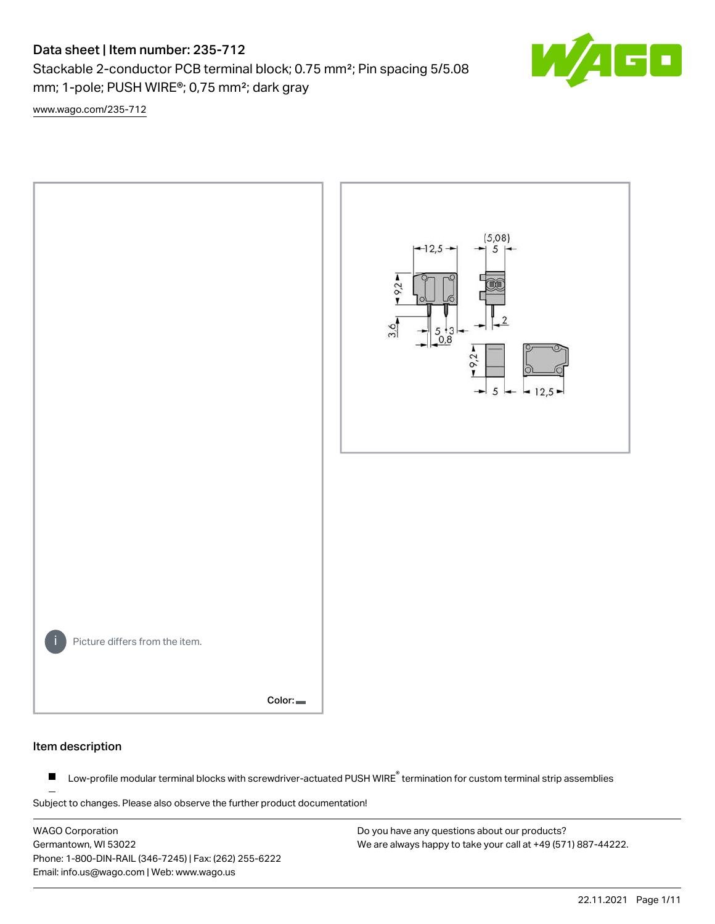# Data sheet | Item number: 235-712

Stackable 2-conductor PCB terminal block; 0.75 mm²; Pin spacing 5/5.08 mm; 1-pole; PUSH WIRE®; 0,75 mm²; dark gray

Ŧ,

[www.wago.com/235-712](http://www.wago.com/235-712)



#### Item description

Low-profile modular terminal blocks with screwdriver-actuated PUSH WIRE<sup>®</sup> termination for custom terminal strip assemblies  $\blacksquare$ 

Subject to changes. Please also observe the further product documentation!

WAGO Corporation Germantown, WI 53022 Phone: 1-800-DIN-RAIL (346-7245) | Fax: (262) 255-6222 Email: info.us@wago.com | Web: www.wago.us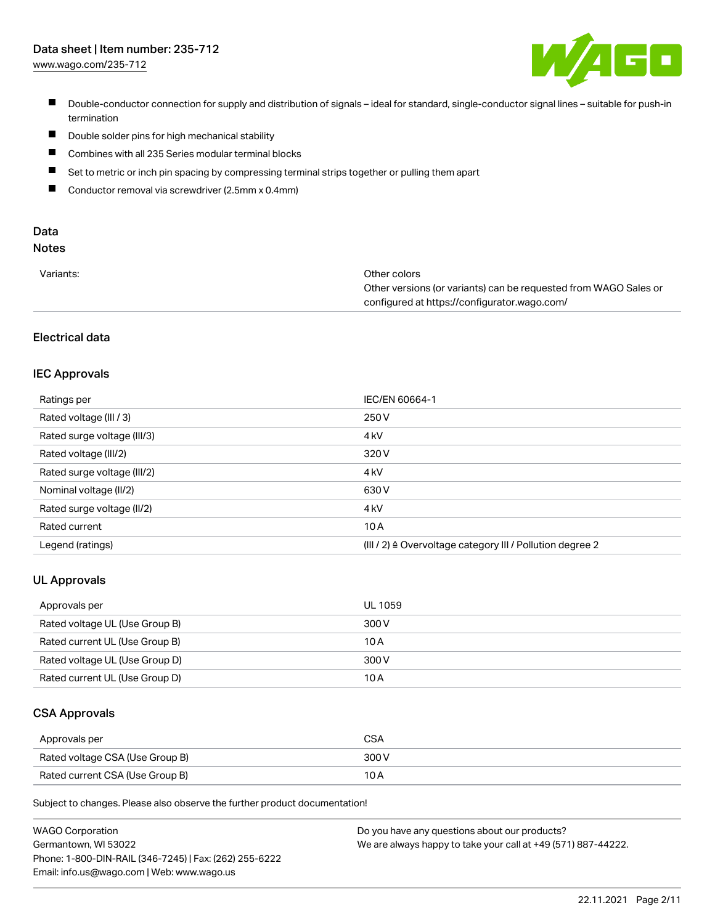

- Double-conductor connection for supply and distribution of signals ideal for standard, single-conductor signal lines suitable for push-in termination
- $\blacksquare$ Double solder pins for high mechanical stability
- $\blacksquare$ Combines with all 235 Series modular terminal blocks
- $\blacksquare$ Set to metric or inch pin spacing by compressing terminal strips together or pulling them apart
- $\blacksquare$ Conductor removal via screwdriver (2.5mm x 0.4mm)

# Data

# Notes

| Variants: | Other colors                                                     |
|-----------|------------------------------------------------------------------|
|           | Other versions (or variants) can be requested from WAGO Sales or |
|           | configured at https://configurator.wago.com/                     |

### Electrical data

### IEC Approvals

| Ratings per                 | IEC/EN 60664-1                                                        |
|-----------------------------|-----------------------------------------------------------------------|
| Rated voltage (III / 3)     | 250 V                                                                 |
| Rated surge voltage (III/3) | 4 <sub>k</sub> V                                                      |
| Rated voltage (III/2)       | 320 V                                                                 |
| Rated surge voltage (III/2) | 4 <sub>k</sub> V                                                      |
| Nominal voltage (II/2)      | 630 V                                                                 |
| Rated surge voltage (II/2)  | 4 <sub>k</sub> V                                                      |
| Rated current               | 10A                                                                   |
| Legend (ratings)            | $(III / 2)$ $\triangle$ Overvoltage category III / Pollution degree 2 |

### UL Approvals

| Approvals per                  | UL 1059 |
|--------------------------------|---------|
| Rated voltage UL (Use Group B) | 300 V   |
| Rated current UL (Use Group B) | 10 A    |
| Rated voltage UL (Use Group D) | 300 V   |
| Rated current UL (Use Group D) | 10 A    |

#### CSA Approvals

| Approvals per                   | CSA   |
|---------------------------------|-------|
| Rated voltage CSA (Use Group B) | 300 V |
| Rated current CSA (Use Group B) |       |

Subject to changes. Please also observe the further product documentation!

| <b>WAGO Corporation</b>                                | Do you have any questions about our products?                 |
|--------------------------------------------------------|---------------------------------------------------------------|
| Germantown, WI 53022                                   | We are always happy to take your call at +49 (571) 887-44222. |
| Phone: 1-800-DIN-RAIL (346-7245)   Fax: (262) 255-6222 |                                                               |
| Email: info.us@wago.com   Web: www.wago.us             |                                                               |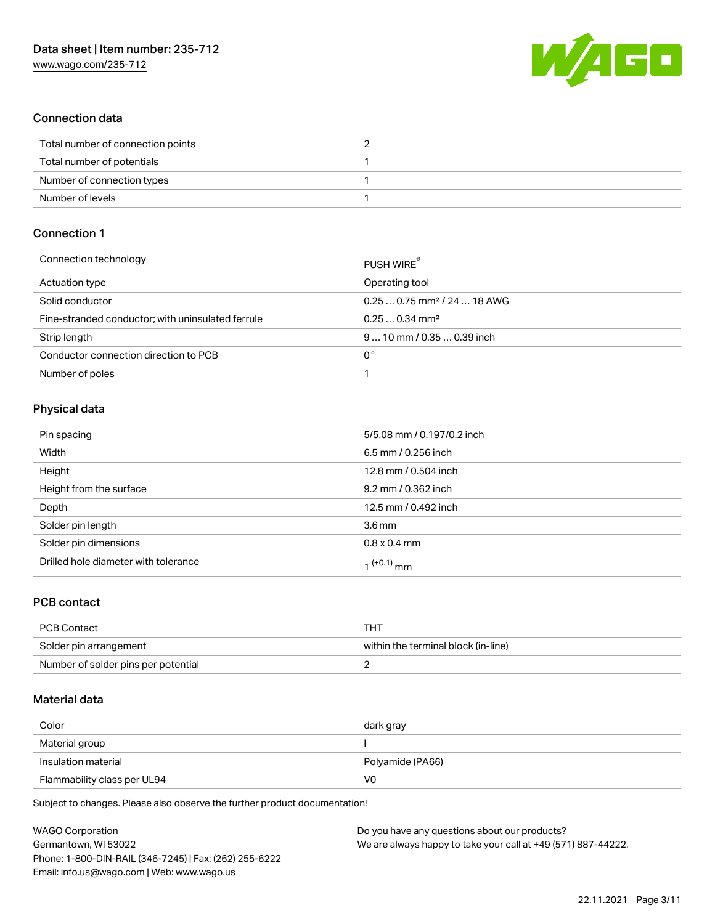

### Connection data

| Total number of connection points |  |
|-----------------------------------|--|
| Total number of potentials        |  |
| Number of connection types        |  |
| Number of levels                  |  |

### Connection 1

| PUSH WIRE                               |
|-----------------------------------------|
| Operating tool                          |
| $0.250.75$ mm <sup>2</sup> / 24  18 AWG |
| $0.250.34$ mm <sup>2</sup>              |
| $910$ mm / 0.35  0.39 inch              |
| 0°                                      |
|                                         |
|                                         |

### Physical data

| Pin spacing                          | 5/5.08 mm / 0.197/0.2 inch |
|--------------------------------------|----------------------------|
| Width                                | 6.5 mm / 0.256 inch        |
| Height                               | 12.8 mm / 0.504 inch       |
| Height from the surface              | 9.2 mm / 0.362 inch        |
| Depth                                | 12.5 mm / 0.492 inch       |
| Solder pin length                    | 3.6 <sub>mm</sub>          |
| Solder pin dimensions                | $0.8 \times 0.4$ mm        |
| Drilled hole diameter with tolerance | 1 <sup>(+0.1)</sup> mm     |

### PCB contact

| <b>PCB Contact</b>                  | THT                                 |
|-------------------------------------|-------------------------------------|
| Solder pin arrangement              | within the terminal block (in-line) |
| Number of solder pins per potential |                                     |

### Material data

| Color                       | dark gray        |
|-----------------------------|------------------|
| Material group              |                  |
| Insulation material         | Polyamide (PA66) |
| Flammability class per UL94 | V0               |

Subject to changes. Please also observe the further product documentation!

| <b>WAGO Corporation</b>                                | Do you have any questions about our products?                 |
|--------------------------------------------------------|---------------------------------------------------------------|
| Germantown, WI 53022                                   | We are always happy to take your call at +49 (571) 887-44222. |
| Phone: 1-800-DIN-RAIL (346-7245)   Fax: (262) 255-6222 |                                                               |
| Email: info.us@wago.com   Web: www.wago.us             |                                                               |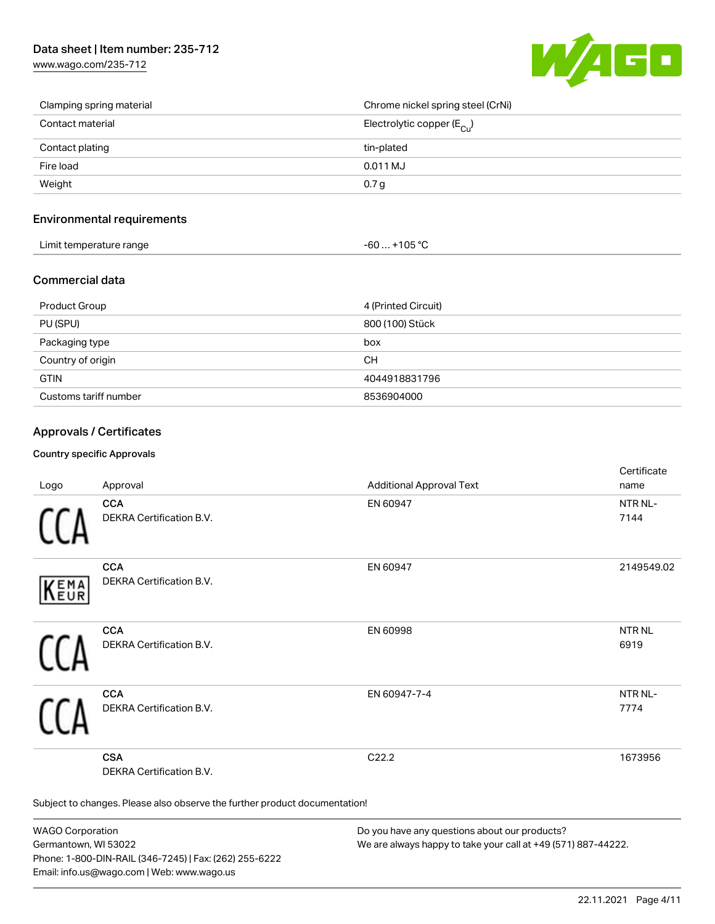[www.wago.com/235-712](http://www.wago.com/235-712)



| Clamping spring material | Chrome nickel spring steel (CrNi)       |
|--------------------------|-----------------------------------------|
| Contact material         | Electrolytic copper ( $E_{\text{Cu}}$ ) |
| Contact plating          | tin-plated                              |
| Fire load                | 0.011 MJ                                |
| Weight                   | 0.7 <sub>g</sub>                        |

### Environmental requirements

| Limit temperature range | $-60+105 °C$ |
|-------------------------|--------------|
|-------------------------|--------------|

#### Commercial data

| Product Group         | 4 (Printed Circuit) |
|-----------------------|---------------------|
| PU (SPU)              | 800 (100) Stück     |
| Packaging type        | box                 |
| Country of origin     | CН                  |
| <b>GTIN</b>           | 4044918831796       |
| Customs tariff number | 8536904000          |

### Approvals / Certificates

#### Country specific Approvals

| Logo       | Approval                                                                   | <b>Additional Approval Text</b> | Certificate<br>name         |
|------------|----------------------------------------------------------------------------|---------------------------------|-----------------------------|
|            | <b>CCA</b><br>DEKRA Certification B.V.                                     | EN 60947                        | NTR NL-<br>7144             |
| EMA<br>EUR | <b>CCA</b><br>DEKRA Certification B.V.                                     | EN 60947                        | 2149549.02                  |
|            | <b>CCA</b><br>DEKRA Certification B.V.                                     | EN 60998                        | NTR <sub>NL</sub><br>6919   |
|            | <b>CCA</b><br>DEKRA Certification B.V.                                     | EN 60947-7-4                    | NTR <sub>NL</sub> -<br>7774 |
|            | <b>CSA</b><br>DEKRA Certification B.V.                                     | C22.2                           | 1673956                     |
|            | Subject to changes. Please also observe the further product documentation! |                                 |                             |

WAGO Corporation Germantown, WI 53022 Phone: 1-800-DIN-RAIL (346-7245) | Fax: (262) 255-6222 Email: info.us@wago.com | Web: www.wago.us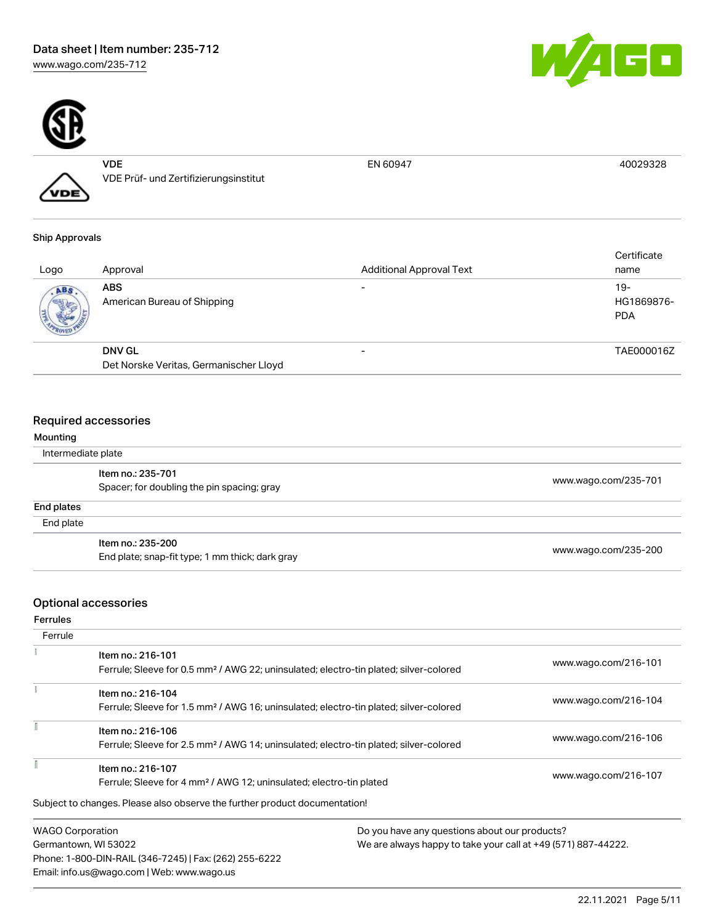

VDE VDE Prüf- und Zertifizierungsinstitut

#### Ship Approvals

VDE

| Logo | Approval                                  | <b>Additional Approval Text</b> | Certificate<br>name               |
|------|-------------------------------------------|---------------------------------|-----------------------------------|
| ABS. | <b>ABS</b><br>American Bureau of Shipping |                                 | $19-$<br>HG1869876-<br><b>PDA</b> |
|      | <b>DNV GL</b>                             |                                 | TAE000016Z                        |
|      | Det Norske Veritas, Germanischer Lloyd    |                                 |                                   |

### Required accessories

| Mounting           |                                                 |                      |  |
|--------------------|-------------------------------------------------|----------------------|--|
| Intermediate plate |                                                 |                      |  |
|                    | Item no.: 235-701                               | www.wago.com/235-701 |  |
|                    | Spacer; for doubling the pin spacing; gray      |                      |  |
| End plates         |                                                 |                      |  |
| End plate          |                                                 |                      |  |
|                    | Item no.: 235-200                               | www.wago.com/235-200 |  |
|                    | End plate; snap-fit type; 1 mm thick; dark gray |                      |  |

## Optional accessories

Ferrules

| Ferrule                 |                                                                                                                        |                                               |
|-------------------------|------------------------------------------------------------------------------------------------------------------------|-----------------------------------------------|
|                         | Item no.: 216-101<br>Ferrule; Sleeve for 0.5 mm <sup>2</sup> / AWG 22; uninsulated; electro-tin plated; silver-colored | www.wago.com/216-101                          |
|                         | Item no.: 216-104<br>Ferrule; Sleeve for 1.5 mm <sup>2</sup> / AWG 16; uninsulated; electro-tin plated; silver-colored | www.wago.com/216-104                          |
|                         | Item no.: 216-106<br>Ferrule; Sleeve for 2.5 mm <sup>2</sup> / AWG 14; uninsulated; electro-tin plated; silver-colored | www.wago.com/216-106                          |
|                         | Item no.: 216-107<br>Ferrule; Sleeve for 4 mm <sup>2</sup> / AWG 12; uninsulated; electro-tin plated                   | www.wago.com/216-107                          |
|                         | Subject to changes. Please also observe the further product documentation!                                             |                                               |
| <b>WAGO Corporation</b> |                                                                                                                        | Do you have any questions about our products? |

Germantown, WI 53022 Phone: 1-800-DIN-RAIL (346-7245) | Fax: (262) 255-6222 Email: info.us@wago.com | Web: www.wago.us

We are always happy to take your call at +49 (571) 887-44222.



EN 60947 40029328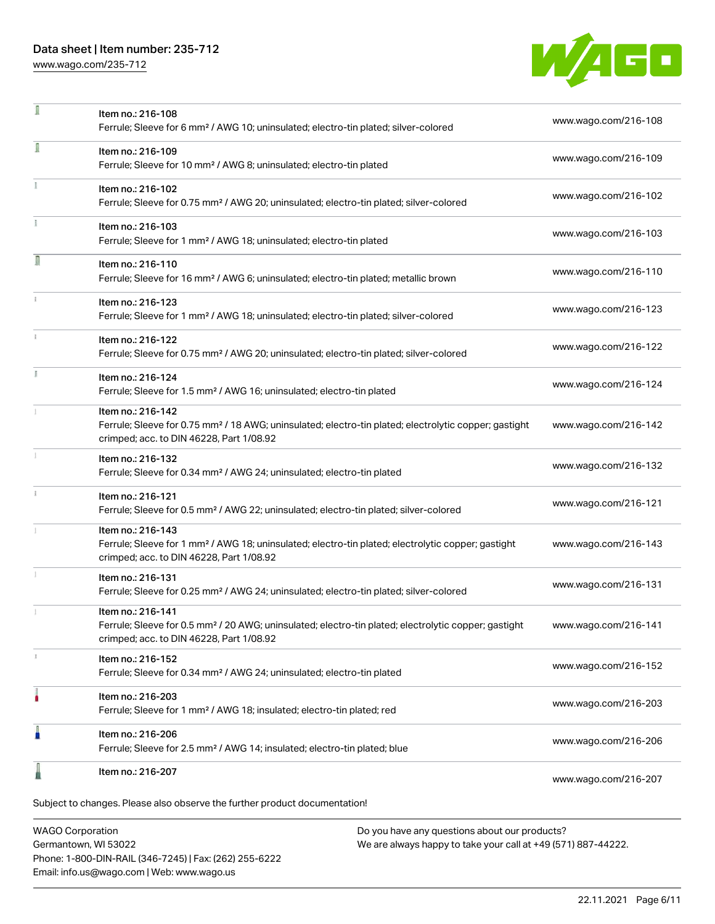### Data sheet | Item number: 235-712

[www.wago.com/235-712](http://www.wago.com/235-712)



| л | Item no.: 216-108<br>Ferrule; Sleeve for 6 mm <sup>2</sup> / AWG 10; uninsulated; electro-tin plated; silver-colored                                                               | www.wago.com/216-108 |
|---|------------------------------------------------------------------------------------------------------------------------------------------------------------------------------------|----------------------|
| 1 | Item no.: 216-109<br>Ferrule; Sleeve for 10 mm <sup>2</sup> / AWG 8; uninsulated; electro-tin plated                                                                               | www.wago.com/216-109 |
|   | Item no.: 216-102<br>Ferrule; Sleeve for 0.75 mm <sup>2</sup> / AWG 20; uninsulated; electro-tin plated; silver-colored                                                            | www.wago.com/216-102 |
|   | Item no.: 216-103<br>Ferrule; Sleeve for 1 mm <sup>2</sup> / AWG 18; uninsulated; electro-tin plated                                                                               | www.wago.com/216-103 |
| Л | Item no.: 216-110<br>Ferrule; Sleeve for 16 mm <sup>2</sup> / AWG 6; uninsulated; electro-tin plated; metallic brown                                                               | www.wago.com/216-110 |
|   | Item no.: 216-123<br>Ferrule; Sleeve for 1 mm <sup>2</sup> / AWG 18; uninsulated; electro-tin plated; silver-colored                                                               | www.wago.com/216-123 |
|   | Item no.: 216-122<br>Ferrule; Sleeve for 0.75 mm <sup>2</sup> / AWG 20; uninsulated; electro-tin plated; silver-colored                                                            | www.wago.com/216-122 |
|   | Item no.: 216-124<br>Ferrule; Sleeve for 1.5 mm <sup>2</sup> / AWG 16; uninsulated; electro-tin plated                                                                             | www.wago.com/216-124 |
|   | Item no.: 216-142<br>Ferrule; Sleeve for 0.75 mm <sup>2</sup> / 18 AWG; uninsulated; electro-tin plated; electrolytic copper; gastight<br>crimped; acc. to DIN 46228, Part 1/08.92 | www.wago.com/216-142 |
|   | Item no.: 216-132<br>Ferrule; Sleeve for 0.34 mm <sup>2</sup> / AWG 24; uninsulated; electro-tin plated                                                                            | www.wago.com/216-132 |
|   | Item no.: 216-121<br>Ferrule; Sleeve for 0.5 mm <sup>2</sup> / AWG 22; uninsulated; electro-tin plated; silver-colored                                                             | www.wago.com/216-121 |
|   | Item no.: 216-143<br>Ferrule; Sleeve for 1 mm <sup>2</sup> / AWG 18; uninsulated; electro-tin plated; electrolytic copper; gastight<br>crimped; acc. to DIN 46228, Part 1/08.92    | www.wago.com/216-143 |
|   | Item no.: 216-131<br>Ferrule; Sleeve for 0.25 mm <sup>2</sup> / AWG 24; uninsulated; electro-tin plated; silver-colored                                                            | www.wago.com/216-131 |
|   | Item no.: 216-141<br>Ferrule; Sleeve for 0.5 mm <sup>2</sup> / 20 AWG; uninsulated; electro-tin plated; electrolytic copper; gastight<br>crimped; acc. to DIN 46228, Part 1/08.92  | www.wago.com/216-141 |
|   | Item no.: 216-152<br>Ferrule; Sleeve for 0.34 mm <sup>2</sup> / AWG 24; uninsulated; electro-tin plated                                                                            | www.wago.com/216-152 |
| ٥ | Item no.: 216-203<br>Ferrule; Sleeve for 1 mm <sup>2</sup> / AWG 18; insulated; electro-tin plated; red                                                                            | www.wago.com/216-203 |
|   | Item no.: 216-206<br>Ferrule; Sleeve for 2.5 mm <sup>2</sup> / AWG 14; insulated; electro-tin plated; blue                                                                         | www.wago.com/216-206 |
|   | Item no.: 216-207                                                                                                                                                                  | www.wago.com/216-207 |
|   | Subject to changes. Please also observe the further product documentation!                                                                                                         |                      |

WAGO Corporation Germantown, WI 53022 Phone: 1-800-DIN-RAIL (346-7245) | Fax: (262) 255-6222 Email: info.us@wago.com | Web: www.wago.us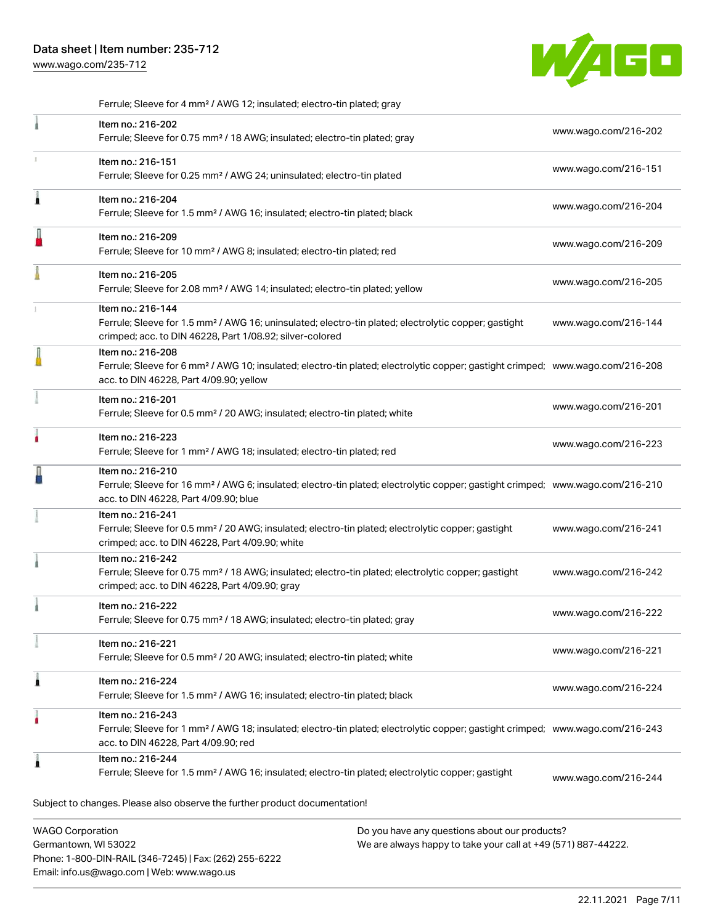[www.wago.com/235-712](http://www.wago.com/235-712)



Ferrule; Sleeve for 4 mm² / AWG 12; insulated; electro-tin plated; gray

|                         | Item no.: 216-202<br>Ferrule; Sleeve for 0.75 mm <sup>2</sup> / 18 AWG; insulated; electro-tin plated; gray                                                                                                |                                                                                                                | www.wago.com/216-202 |
|-------------------------|------------------------------------------------------------------------------------------------------------------------------------------------------------------------------------------------------------|----------------------------------------------------------------------------------------------------------------|----------------------|
|                         | Item no.: 216-151<br>Ferrule; Sleeve for 0.25 mm <sup>2</sup> / AWG 24; uninsulated; electro-tin plated                                                                                                    |                                                                                                                | www.wago.com/216-151 |
| 1                       | Item no.: 216-204<br>Ferrule; Sleeve for 1.5 mm <sup>2</sup> / AWG 16; insulated; electro-tin plated; black                                                                                                |                                                                                                                | www.wago.com/216-204 |
|                         | Item no.: 216-209<br>Ferrule; Sleeve for 10 mm <sup>2</sup> / AWG 8; insulated; electro-tin plated; red                                                                                                    |                                                                                                                | www.wago.com/216-209 |
|                         | Item no.: 216-205<br>Ferrule; Sleeve for 2.08 mm <sup>2</sup> / AWG 14; insulated; electro-tin plated; yellow                                                                                              |                                                                                                                | www.wago.com/216-205 |
|                         | Item no.: 216-144<br>Ferrule; Sleeve for 1.5 mm <sup>2</sup> / AWG 16; uninsulated; electro-tin plated; electrolytic copper; gastight<br>crimped; acc. to DIN 46228, Part 1/08.92; silver-colored          |                                                                                                                | www.wago.com/216-144 |
|                         | Item no.: 216-208<br>Ferrule; Sleeve for 6 mm <sup>2</sup> / AWG 10; insulated; electro-tin plated; electrolytic copper; gastight crimped; www.wago.com/216-208<br>acc. to DIN 46228, Part 4/09.90; yellow |                                                                                                                |                      |
|                         | Item no.: 216-201<br>Ferrule; Sleeve for 0.5 mm <sup>2</sup> / 20 AWG; insulated; electro-tin plated; white                                                                                                |                                                                                                                | www.wago.com/216-201 |
|                         | Item no.: 216-223<br>Ferrule; Sleeve for 1 mm <sup>2</sup> / AWG 18; insulated; electro-tin plated; red                                                                                                    |                                                                                                                | www.wago.com/216-223 |
|                         | Item no.: 216-210<br>Ferrule; Sleeve for 16 mm <sup>2</sup> / AWG 6; insulated; electro-tin plated; electrolytic copper; gastight crimped; www.wago.com/216-210<br>acc. to DIN 46228, Part 4/09.90; blue   |                                                                                                                |                      |
|                         | Item no.: 216-241<br>Ferrule; Sleeve for 0.5 mm <sup>2</sup> / 20 AWG; insulated; electro-tin plated; electrolytic copper; gastight<br>crimped; acc. to DIN 46228, Part 4/09.90; white                     |                                                                                                                | www.wago.com/216-241 |
|                         | Item no.: 216-242<br>Ferrule; Sleeve for 0.75 mm <sup>2</sup> / 18 AWG; insulated; electro-tin plated; electrolytic copper; gastight<br>crimped; acc. to DIN 46228, Part 4/09.90; gray                     |                                                                                                                | www.wago.com/216-242 |
|                         | Item no.: 216-222<br>Ferrule; Sleeve for 0.75 mm <sup>2</sup> / 18 AWG; insulated; electro-tin plated; gray                                                                                                |                                                                                                                | www.wago.com/216-222 |
|                         | Item no.: 216-221<br>Ferrule; Sleeve for 0.5 mm <sup>2</sup> / 20 AWG; insulated; electro-tin plated; white                                                                                                |                                                                                                                | www.wago.com/216-221 |
| Â                       | Item no.: 216-224<br>Ferrule; Sleeve for 1.5 mm <sup>2</sup> / AWG 16; insulated; electro-tin plated; black                                                                                                |                                                                                                                | www.wago.com/216-224 |
|                         | Item no.: 216-243<br>Ferrule; Sleeve for 1 mm <sup>2</sup> / AWG 18; insulated; electro-tin plated; electrolytic copper; gastight crimped; www.wago.com/216-243<br>acc. to DIN 46228, Part 4/09.90; red    |                                                                                                                |                      |
| 1                       | Item no.: 216-244<br>Ferrule; Sleeve for 1.5 mm <sup>2</sup> / AWG 16; insulated; electro-tin plated; electrolytic copper; gastight                                                                        |                                                                                                                | www.wago.com/216-244 |
|                         | Subject to changes. Please also observe the further product documentation!                                                                                                                                 |                                                                                                                |                      |
| <b>WAGO Corporation</b> | Germantown, WI 53022                                                                                                                                                                                       | Do you have any questions about our products?<br>We are always happy to take your call at +49 (571) 887-44222. |                      |

Germantown, WI 53022 Phone: 1-800-DIN-RAIL (346-7245) | Fax: (262) 255-6222 Email: info.us@wago.com | Web: www.wago.us

e are always happy to take your call at +49 (571) 88<sup>.</sup>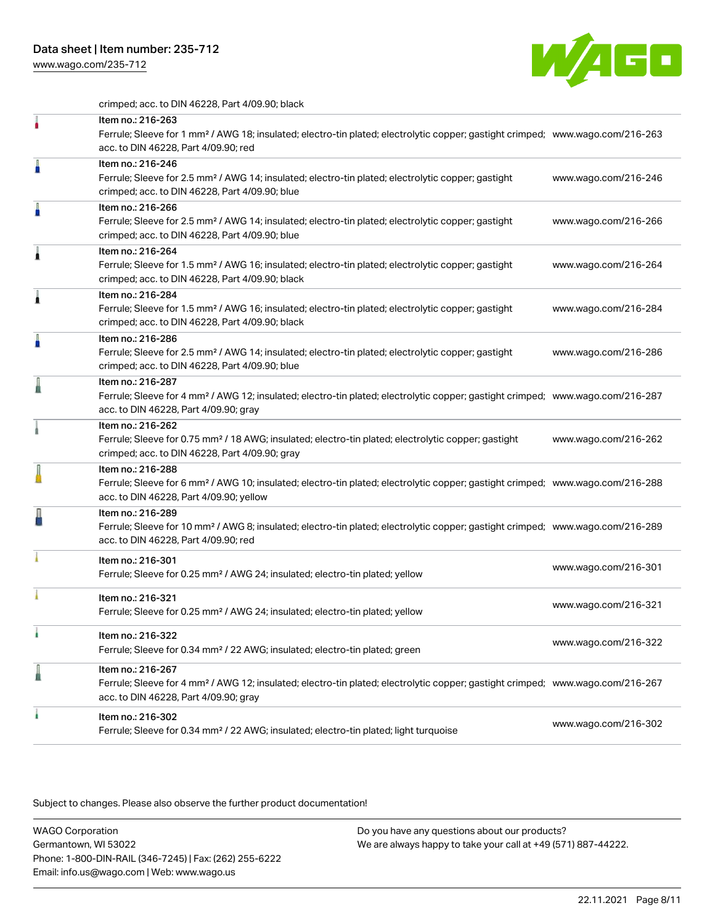[www.wago.com/235-712](http://www.wago.com/235-712)



crimped; acc. to DIN 46228, Part 4/09.90; black

|   | Item no.: 216-263<br>Ferrule; Sleeve for 1 mm <sup>2</sup> / AWG 18; insulated; electro-tin plated; electrolytic copper; gastight crimped; www.wago.com/216-263<br>acc. to DIN 46228, Part 4/09.90; red    |                      |
|---|------------------------------------------------------------------------------------------------------------------------------------------------------------------------------------------------------------|----------------------|
| A | Item no.: 216-246<br>Ferrule; Sleeve for 2.5 mm <sup>2</sup> / AWG 14; insulated; electro-tin plated; electrolytic copper; gastight<br>crimped; acc. to DIN 46228, Part 4/09.90; blue                      | www.wago.com/216-246 |
| A | Item no.: 216-266<br>Ferrule; Sleeve for 2.5 mm <sup>2</sup> / AWG 14; insulated; electro-tin plated; electrolytic copper; gastight<br>crimped; acc. to DIN 46228, Part 4/09.90; blue                      | www.wago.com/216-266 |
| ۸ | Item no.: 216-264<br>Ferrule; Sleeve for 1.5 mm <sup>2</sup> / AWG 16; insulated; electro-tin plated; electrolytic copper; gastight<br>crimped; acc. to DIN 46228, Part 4/09.90; black                     | www.wago.com/216-264 |
|   | Item no.: 216-284<br>Ferrule; Sleeve for 1.5 mm <sup>2</sup> / AWG 16; insulated; electro-tin plated; electrolytic copper; gastight<br>crimped; acc. to DIN 46228, Part 4/09.90; black                     | www.wago.com/216-284 |
| A | Item no.: 216-286<br>Ferrule; Sleeve for 2.5 mm <sup>2</sup> / AWG 14; insulated; electro-tin plated; electrolytic copper; gastight<br>crimped; acc. to DIN 46228, Part 4/09.90; blue                      | www.wago.com/216-286 |
|   | Item no.: 216-287<br>Ferrule; Sleeve for 4 mm <sup>2</sup> / AWG 12; insulated; electro-tin plated; electrolytic copper; gastight crimped; www.wago.com/216-287<br>acc. to DIN 46228, Part 4/09.90; gray   |                      |
|   | Item no.: 216-262<br>Ferrule; Sleeve for 0.75 mm <sup>2</sup> / 18 AWG; insulated; electro-tin plated; electrolytic copper; gastight<br>crimped; acc. to DIN 46228, Part 4/09.90; gray                     | www.wago.com/216-262 |
|   | Item no.: 216-288<br>Ferrule; Sleeve for 6 mm <sup>2</sup> / AWG 10; insulated; electro-tin plated; electrolytic copper; gastight crimped; www.wago.com/216-288<br>acc. to DIN 46228, Part 4/09.90; yellow |                      |
|   | Item no.: 216-289<br>Ferrule; Sleeve for 10 mm <sup>2</sup> / AWG 8; insulated; electro-tin plated; electrolytic copper; gastight crimped; www.wago.com/216-289<br>acc. to DIN 46228, Part 4/09.90; red    |                      |
|   | Item no.: 216-301<br>Ferrule; Sleeve for 0.25 mm <sup>2</sup> / AWG 24; insulated; electro-tin plated; yellow                                                                                              | www.wago.com/216-301 |
|   | Item no.: 216-321<br>Ferrule; Sleeve for 0.25 mm <sup>2</sup> / AWG 24; insulated; electro-tin plated; yellow                                                                                              | www.wago.com/216-321 |
|   | Item no.: 216-322<br>Ferrule; Sleeve for 0.34 mm <sup>2</sup> / 22 AWG; insulated; electro-tin plated; green                                                                                               | www.wago.com/216-322 |
|   | Item no.: 216-267<br>Ferrule; Sleeve for 4 mm <sup>2</sup> / AWG 12; insulated; electro-tin plated; electrolytic copper; gastight crimped; www.wago.com/216-267<br>acc. to DIN 46228, Part 4/09.90; gray   |                      |
| ۸ | Item no.: 216-302<br>Ferrule; Sleeve for 0.34 mm <sup>2</sup> / 22 AWG; insulated; electro-tin plated; light turquoise                                                                                     | www.wago.com/216-302 |

Subject to changes. Please also observe the further product documentation!

WAGO Corporation Germantown, WI 53022 Phone: 1-800-DIN-RAIL (346-7245) | Fax: (262) 255-6222 Email: info.us@wago.com | Web: www.wago.us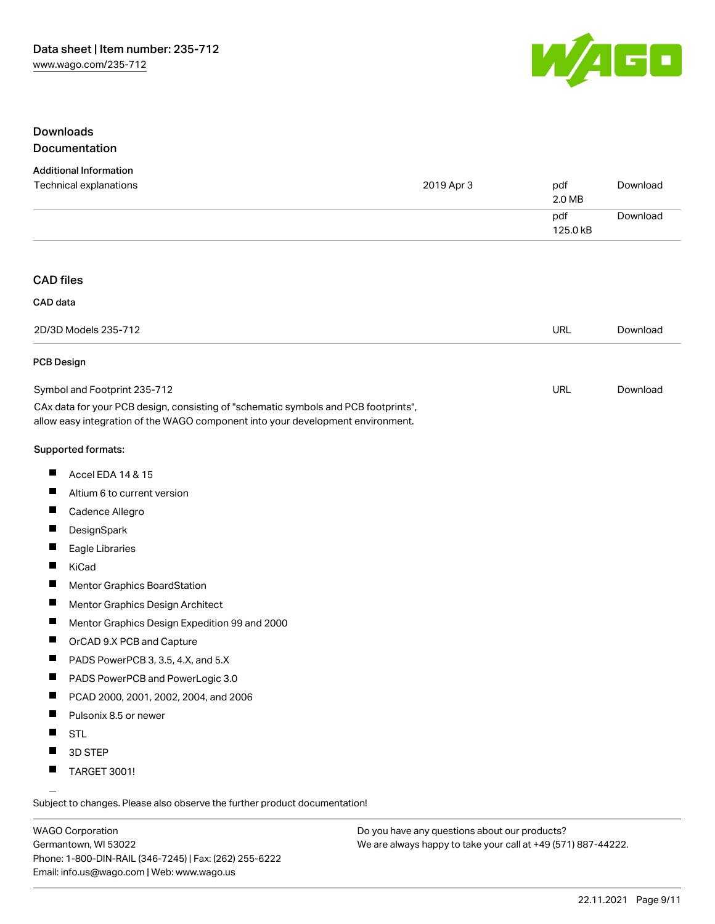

### Downloads Documentation

#### Additional Information

| Technical explanations                                                                                                                                                 | 2019 Apr 3 | pdf<br>2.0 MB   | Download |
|------------------------------------------------------------------------------------------------------------------------------------------------------------------------|------------|-----------------|----------|
|                                                                                                                                                                        |            | pdf<br>125.0 kB | Download |
|                                                                                                                                                                        |            |                 |          |
| <b>CAD files</b>                                                                                                                                                       |            |                 |          |
| CAD data                                                                                                                                                               |            |                 |          |
|                                                                                                                                                                        |            |                 |          |
| 2D/3D Models 235-712                                                                                                                                                   |            | URL             | Download |
| <b>PCB Design</b>                                                                                                                                                      |            |                 |          |
| Symbol and Footprint 235-712                                                                                                                                           |            | <b>URL</b>      | Download |
| CAx data for your PCB design, consisting of "schematic symbols and PCB footprints",<br>allow easy integration of the WAGO component into your development environment. |            |                 |          |
| Supported formats:                                                                                                                                                     |            |                 |          |
| Ш<br>Accel EDA 14 & 15                                                                                                                                                 |            |                 |          |
| ш<br>Altium 6 to current version                                                                                                                                       |            |                 |          |
| Ш<br>Cadence Allegro                                                                                                                                                   |            |                 |          |
| $\blacksquare$<br>DesignSpark                                                                                                                                          |            |                 |          |
| ш<br>Eagle Libraries                                                                                                                                                   |            |                 |          |
| Ш<br>KiCad                                                                                                                                                             |            |                 |          |
| ш<br><b>Mentor Graphics BoardStation</b>                                                                                                                               |            |                 |          |
| Ш<br>Mentor Graphics Design Architect                                                                                                                                  |            |                 |          |
| Ш<br>Mentor Graphics Design Expedition 99 and 2000                                                                                                                     |            |                 |          |
| ш<br>OrCAD 9.X PCB and Capture                                                                                                                                         |            |                 |          |
| ш<br>PADS PowerPCB 3, 3.5, 4.X, and 5.X                                                                                                                                |            |                 |          |
| ш<br>PADS PowerPCB and PowerLogic 3.0                                                                                                                                  |            |                 |          |
| Ш<br>PCAD 2000, 2001, 2002, 2004, and 2006                                                                                                                             |            |                 |          |
| Ш<br>Pulsonix 8.5 or newer                                                                                                                                             |            |                 |          |
| <b>STL</b>                                                                                                                                                             |            |                 |          |
| П<br>3D STEP                                                                                                                                                           |            |                 |          |
| ш<br><b>TARGET 3001!</b>                                                                                                                                               |            |                 |          |

Subject to changes. Please also observe the further product documentation!

WAGO Corporation Germantown, WI 53022 Phone: 1-800-DIN-RAIL (346-7245) | Fax: (262) 255-6222 Email: info.us@wago.com | Web: www.wago.us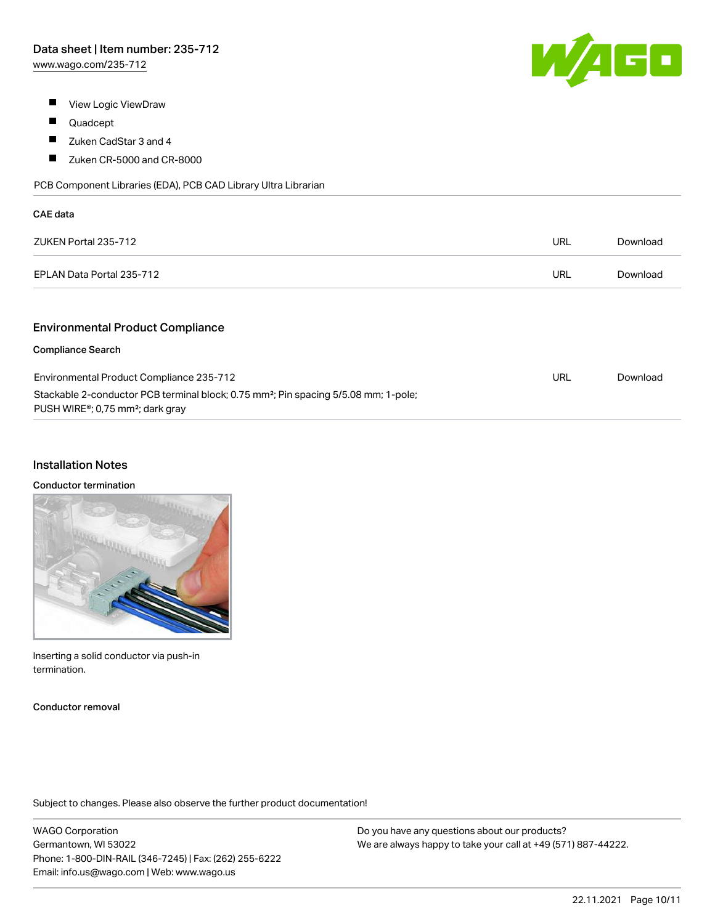

- **View Logic ViewDraw**
- $\blacksquare$ Quadcept
- $\blacksquare$ Zuken CadStar 3 and 4
- $\blacksquare$ Zuken CR-5000 and CR-8000

PCB Component Libraries (EDA), PCB CAD Library Ultra Librarian

| CAE data                  |     |          |
|---------------------------|-----|----------|
| ZUKEN Portal 235-712      | URL | Download |
| EPLAN Data Portal 235-712 | URL | Download |
|                           |     |          |

### Environmental Product Compliance

#### Compliance Search

| Environmental Product Compliance 235-712                                                                                                                     | URL | Download |
|--------------------------------------------------------------------------------------------------------------------------------------------------------------|-----|----------|
| Stackable 2-conductor PCB terminal block; 0.75 mm <sup>2</sup> ; Pin spacing 5/5.08 mm; 1-pole;<br>PUSH WIRE <sup>®</sup> ; 0,75 mm <sup>2</sup> ; dark gray |     |          |

#### Installation Notes

#### Conductor termination

| ۱ |  |
|---|--|
|   |  |
|   |  |

Inserting a solid conductor via push-in termination.

Conductor removal

Subject to changes. Please also observe the further product documentation!

WAGO Corporation Germantown, WI 53022 Phone: 1-800-DIN-RAIL (346-7245) | Fax: (262) 255-6222 Email: info.us@wago.com | Web: www.wago.us